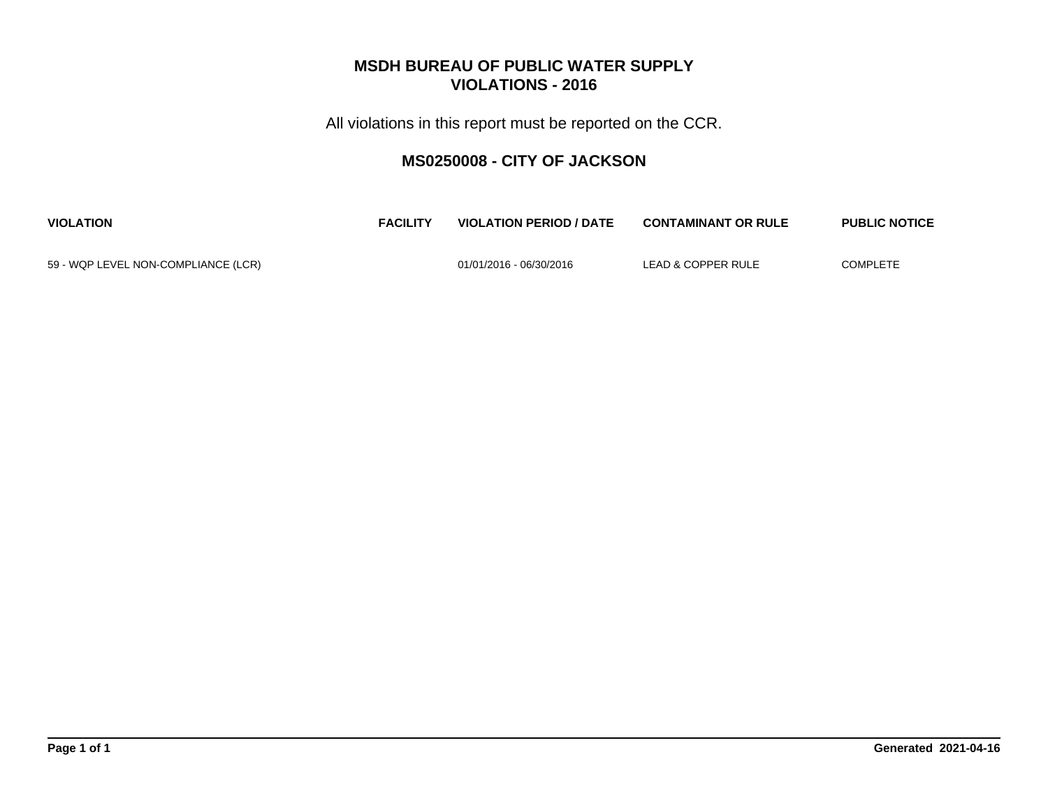All violations in this report must be reported on the CCR.

## **MS0250008 - CITY OF JACKSON**

| <b>VIOLATION</b>                    | <b>FACILITY</b> | <b>VIOLATION PERIOD / DATE</b> | <b>CONTAMINANT OR RULE</b> | <b>PUBLIC NOTICE</b> |
|-------------------------------------|-----------------|--------------------------------|----------------------------|----------------------|
| 59 - WQP LEVEL NON-COMPLIANCE (LCR) |                 | 01/01/2016 - 06/30/2016        | LEAD & COPPER RULE         | <b>COMPLETE</b>      |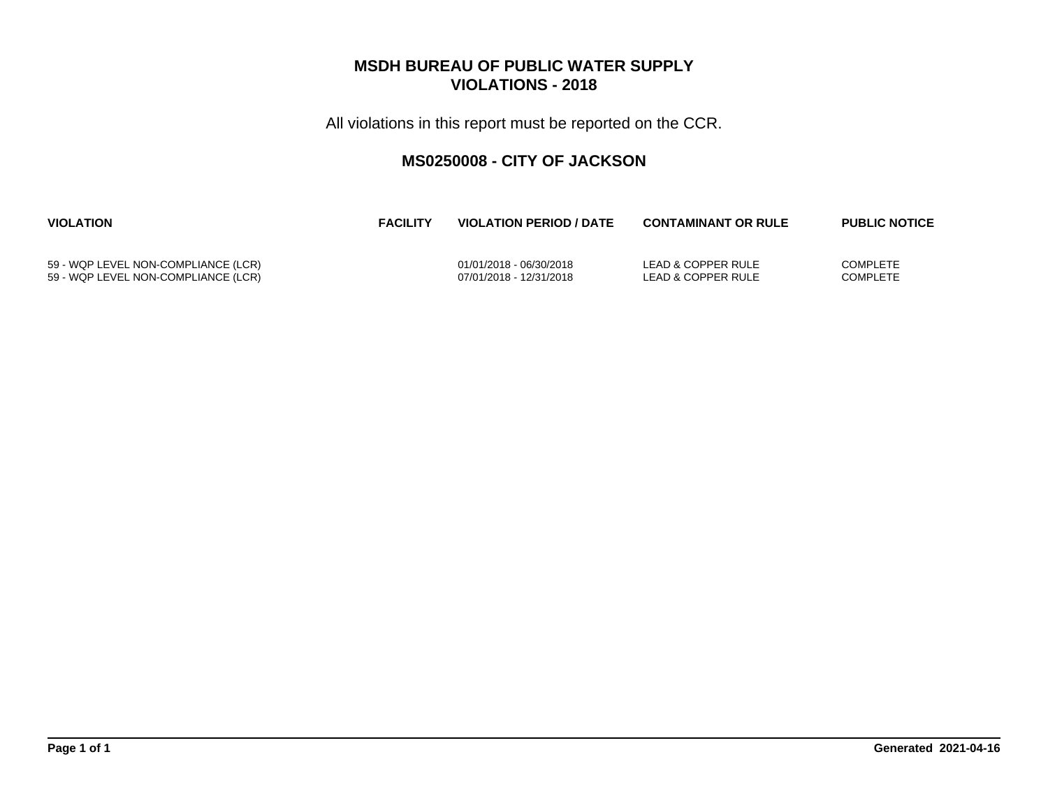All violations in this report must be reported on the CCR.

## **MS0250008 - CITY OF JACKSON**

| <b>VIOLATION</b>                    | <b>FACILITY</b> | <b>VIOLATION PERIOD / DATE</b> | <b>CONTAMINANT OR RULE</b> | <b>PUBLIC NOTICE</b> |
|-------------------------------------|-----------------|--------------------------------|----------------------------|----------------------|
| 59 - WQP LEVEL NON-COMPLIANCE (LCR) |                 | 01/01/2018 - 06/30/2018        | LEAD & COPPER RULE         | <b>COMPLETE</b>      |
| 59 - WQP LEVEL NON-COMPLIANCE (LCR) |                 | 07/01/2018 - 12/31/2018        | LEAD & COPPER RULE         | <b>COMPLETE</b>      |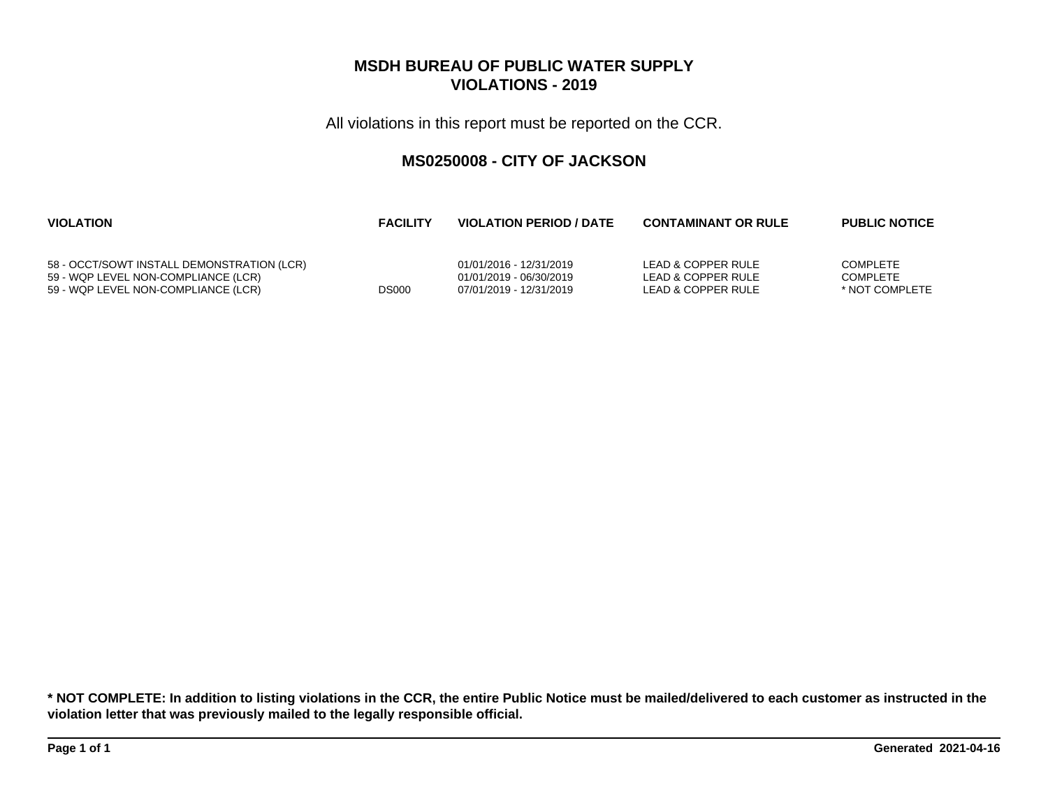All violations in this report must be reported on the CCR.

## **MS0250008 - CITY OF JACKSON**

| <b>VIOLATION</b>                           | <b>FACILITY</b> | <b>VIOLATION PERIOD / DATE</b> | <b>CONTAMINANT OR RULE</b> | <b>PUBLIC NOTICE</b> |
|--------------------------------------------|-----------------|--------------------------------|----------------------------|----------------------|
| 58 - OCCT/SOWT INSTALL DEMONSTRATION (LCR) | <b>DS000</b>    | 01/01/2016 - 12/31/2019        | LEAD & COPPER RULE         | <b>COMPLETE</b>      |
| 59 - WQP LEVEL NON-COMPLIANCE (LCR)        |                 | 01/01/2019 - 06/30/2019        | LEAD & COPPER RULE         | <b>COMPLETE</b>      |
| 59 - WQP LEVEL NON-COMPLIANCE (LCR)        |                 | 07/01/2019 - 12/31/2019        | LEAD & COPPER RULE         | * NOT COMPLETE       |

**\* NOT COMPLETE: In addition to listing violations in the CCR, the entire Public Notice must be mailed/delivered to each customer as instructed in the violation letter that was previously mailed to the legally responsible official.**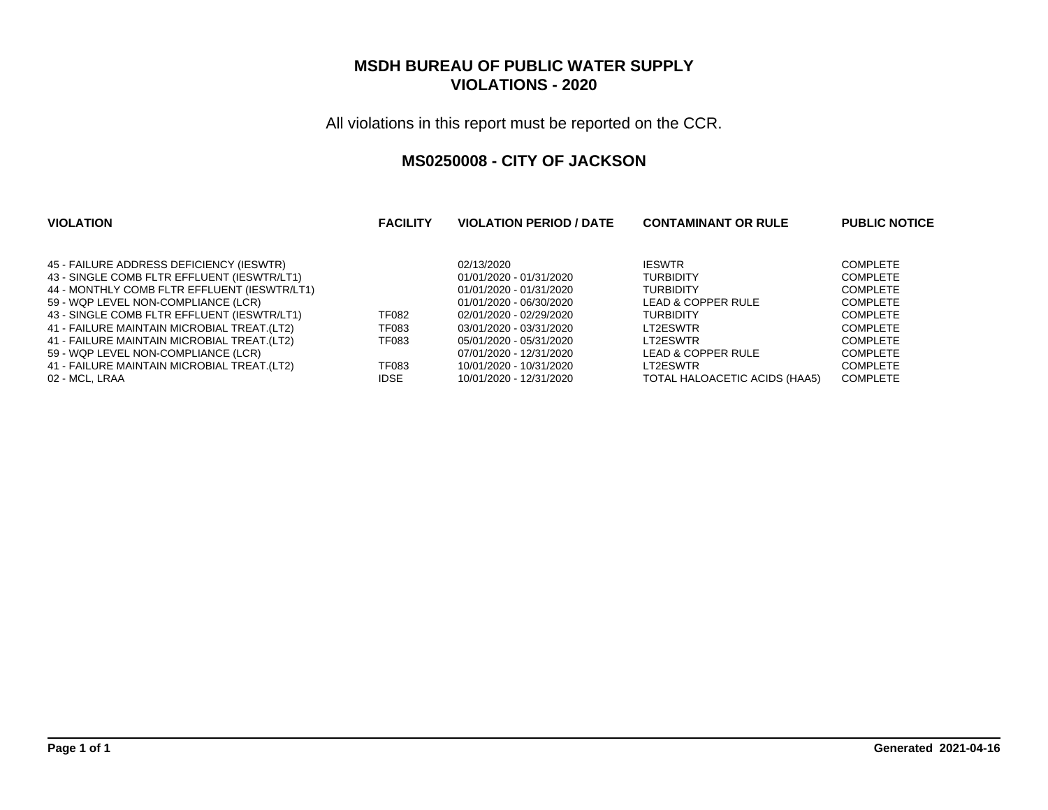All violations in this report must be reported on the CCR.

#### **MS0250008 - CITY OF JACKSON**

| <b>FACILITY</b> | <b>VIOLATION PERIOD / DATE</b> | <b>CONTAMINANT OR RULE</b>            | <b>PUBLIC NOTICE</b>              |
|-----------------|--------------------------------|---------------------------------------|-----------------------------------|
|                 |                                |                                       | <b>COMPLETE</b>                   |
|                 |                                |                                       | <b>COMPLETE</b>                   |
|                 | 01/01/2020 - 01/31/2020        | <b>TURBIDITY</b>                      | <b>COMPLETE</b>                   |
|                 | 01/01/2020 - 06/30/2020        | LEAD & COPPER RULE                    | <b>COMPLETE</b>                   |
| <b>TF082</b>    | 02/01/2020 - 02/29/2020        | <b>TURBIDITY</b>                      | <b>COMPLETE</b>                   |
| <b>TF083</b>    | 03/01/2020 - 03/31/2020        | LT2ESWTR                              | <b>COMPLETE</b>                   |
| <b>TF083</b>    | 05/01/2020 - 05/31/2020        | LT2ESWTR                              | <b>COMPLETE</b>                   |
|                 | 07/01/2020 - 12/31/2020        | LEAD & COPPER RULE                    | <b>COMPLETE</b>                   |
| <b>TF083</b>    | 10/01/2020 - 10/31/2020        | LT2ESWTR                              | <b>COMPLETE</b>                   |
| <b>IDSE</b>     | 10/01/2020 - 12/31/2020        | TOTAL HALOACETIC ACIDS (HAA5)         | <b>COMPLETE</b>                   |
|                 |                                | 02/13/2020<br>01/01/2020 - 01/31/2020 | <b>IESWTR</b><br><b>TURBIDITY</b> |